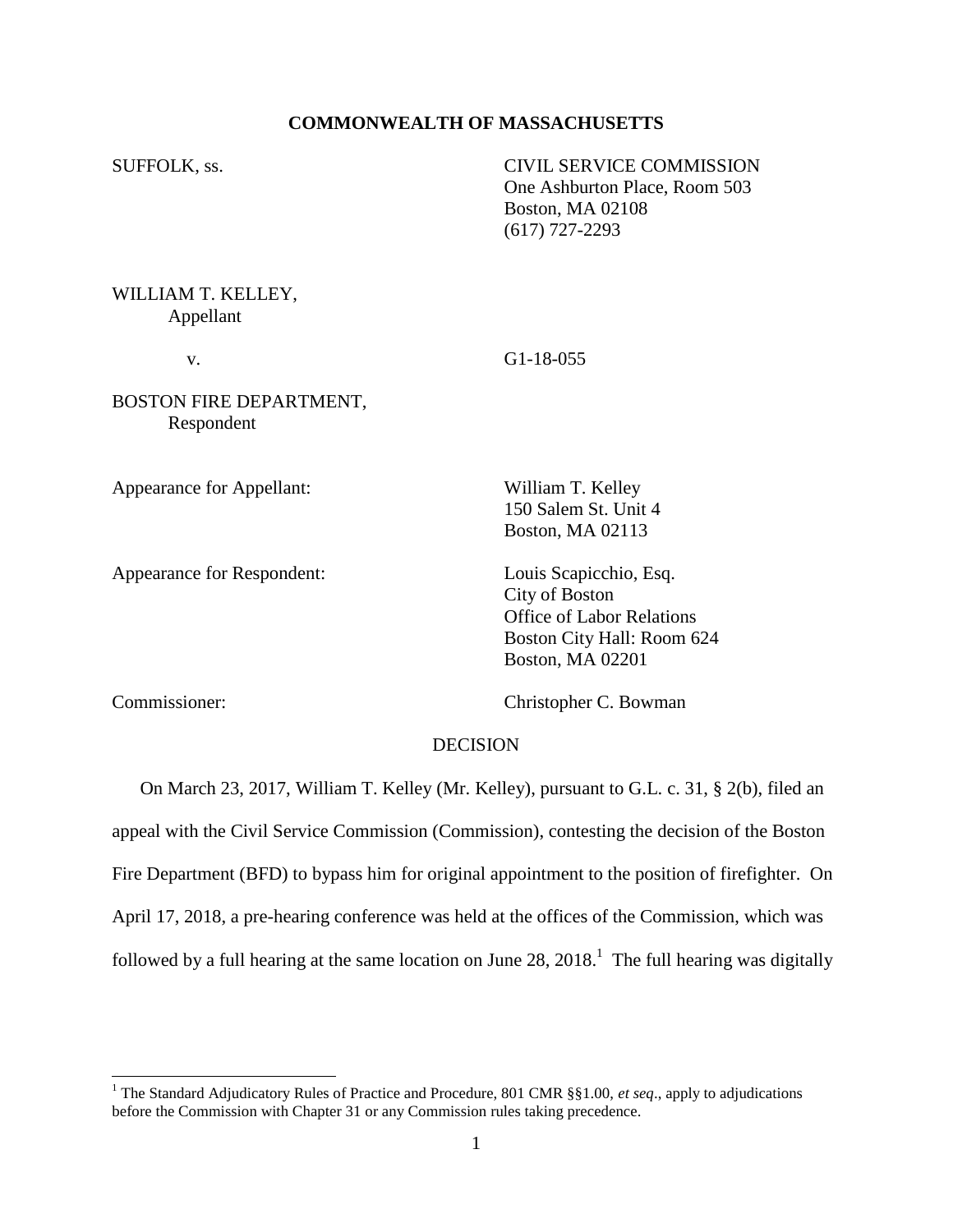#### **COMMONWEALTH OF MASSACHUSETTS**

SUFFOLK, ss. CIVIL SERVICE COMMISSION One Ashburton Place, Room 503 Boston, MA 02108 (617) 727-2293

WILLIAM T. KELLEY, Appellant

v. G1-18-055

BOSTON FIRE DEPARTMENT, Respondent

Appearance for Appellant: William T. Kelley

Appearance for Respondent: Louis Scapicchio, Esq.

150 Salem St. Unit 4 Boston, MA 02113

City of Boston Office of Labor Relations Boston City Hall: Room 624 Boston, MA 02201

l

Commissioner: Christopher C. Bowman

### DECISION

 On March 23, 2017, William T. Kelley (Mr. Kelley), pursuant to G.L. c. 31, § 2(b), filed an appeal with the Civil Service Commission (Commission), contesting the decision of the Boston Fire Department (BFD) to bypass him for original appointment to the position of firefighter. On April 17, 2018, a pre-hearing conference was held at the offices of the Commission, which was followed by a full hearing at the same location on June  $28$ ,  $2018$ .<sup>1</sup> The full hearing was digitally

<sup>&</sup>lt;sup>1</sup> The Standard Adjudicatory Rules of Practice and Procedure, 801 CMR §§1.00, *et seq.*, apply to adjudications before the Commission with Chapter 31 or any Commission rules taking precedence.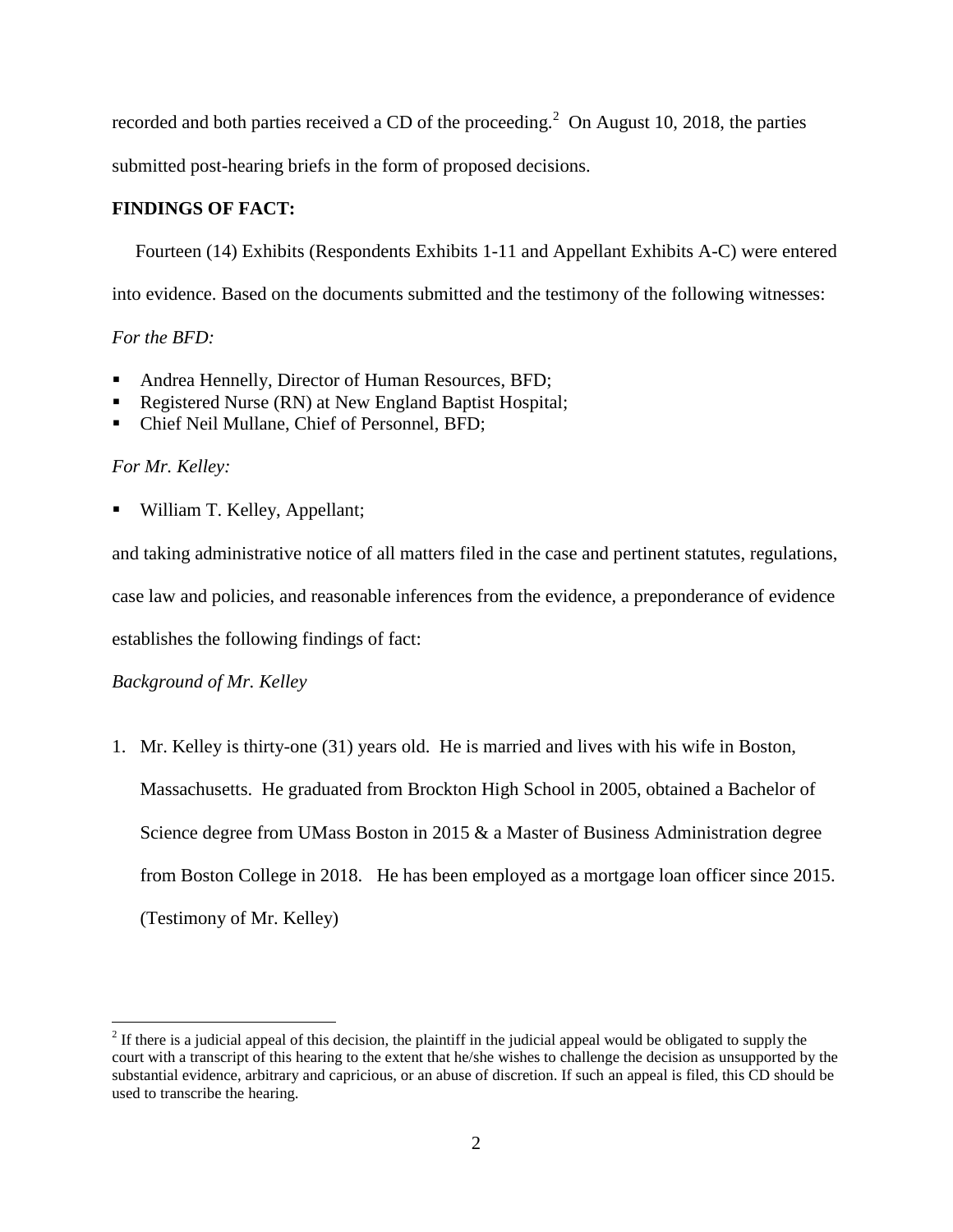recorded and both parties received a CD of the proceeding.<sup>2</sup> On August 10, 2018, the parties

submitted post-hearing briefs in the form of proposed decisions.

# **FINDINGS OF FACT:**

Fourteen (14) Exhibits (Respondents Exhibits 1-11 and Appellant Exhibits A-C) were entered

into evidence. Based on the documents submitted and the testimony of the following witnesses:

# *For the BFD:*

- Andrea Hennelly, Director of Human Resources, BFD;
- Registered Nurse (RN) at New England Baptist Hospital;
- Chief Neil Mullane, Chief of Personnel, BFD;

# *For Mr. Kelley:*

William T. Kelley, Appellant;

and taking administrative notice of all matters filed in the case and pertinent statutes, regulations, case law and policies, and reasonable inferences from the evidence, a preponderance of evidence establishes the following findings of fact:

## *Background of Mr. Kelley*

1. Mr. Kelley is thirty-one (31) years old. He is married and lives with his wife in Boston,

Massachusetts. He graduated from Brockton High School in 2005, obtained a Bachelor of

Science degree from UMass Boston in 2015 & a Master of Business Administration degree

from Boston College in 2018. He has been employed as a mortgage loan officer since 2015.

(Testimony of Mr. Kelley)

 $\overline{\phantom{a}}$ 

 $2<sup>2</sup>$  If there is a judicial appeal of this decision, the plaintiff in the judicial appeal would be obligated to supply the court with a transcript of this hearing to the extent that he/she wishes to challenge the decision as unsupported by the substantial evidence, arbitrary and capricious, or an abuse of discretion. If such an appeal is filed, this CD should be used to transcribe the hearing.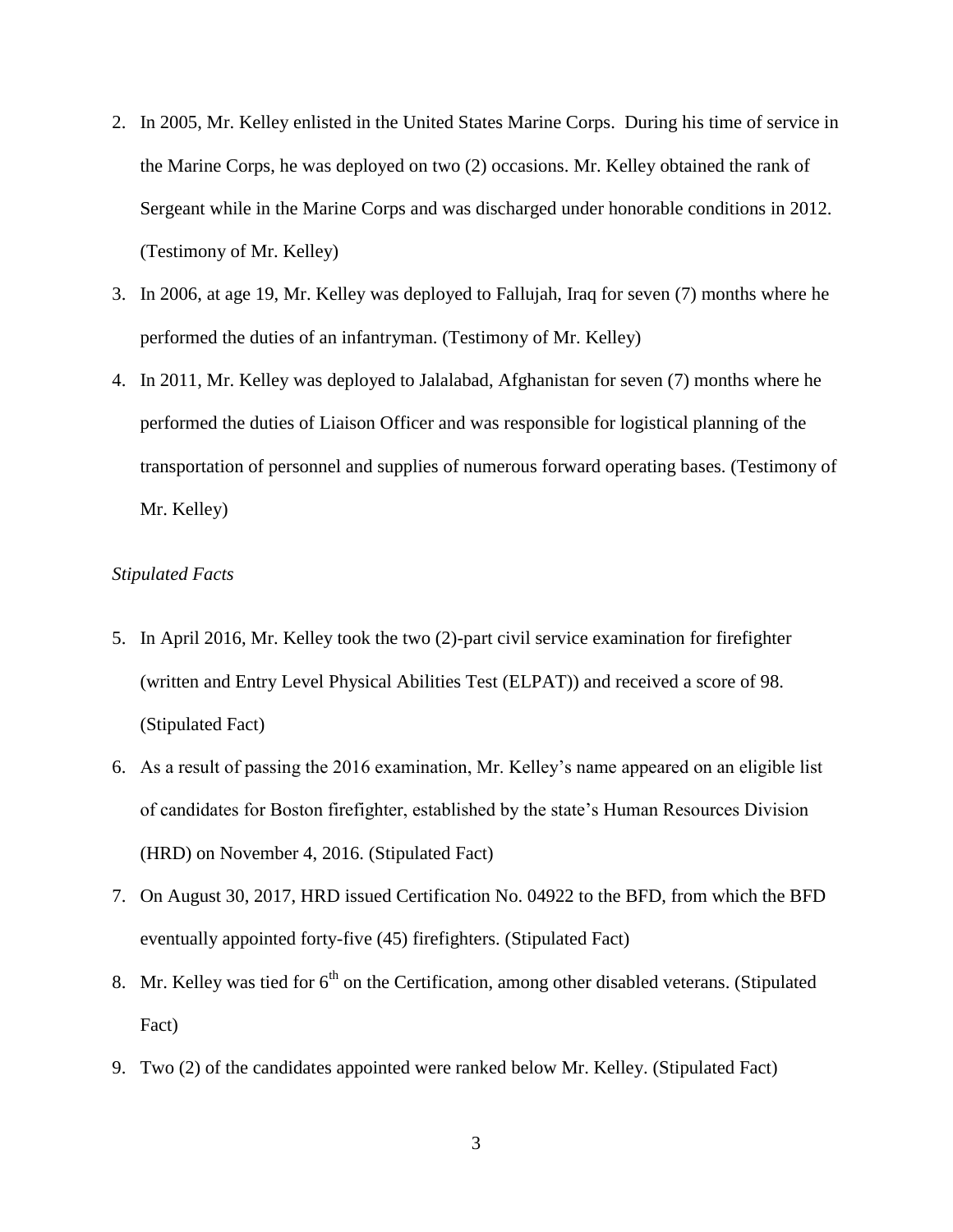- 2. In 2005, Mr. Kelley enlisted in the United States Marine Corps. During his time of service in the Marine Corps, he was deployed on two (2) occasions. Mr. Kelley obtained the rank of Sergeant while in the Marine Corps and was discharged under honorable conditions in 2012. (Testimony of Mr. Kelley)
- 3. In 2006, at age 19, Mr. Kelley was deployed to Fallujah, Iraq for seven (7) months where he performed the duties of an infantryman. (Testimony of Mr. Kelley)
- 4. In 2011, Mr. Kelley was deployed to Jalalabad, Afghanistan for seven (7) months where he performed the duties of Liaison Officer and was responsible for logistical planning of the transportation of personnel and supplies of numerous forward operating bases. (Testimony of Mr. Kelley)

### *Stipulated Facts*

- 5. In April 2016, Mr. Kelley took the two (2)-part civil service examination for firefighter (written and Entry Level Physical Abilities Test (ELPAT)) and received a score of 98. (Stipulated Fact)
- 6. As a result of passing the 2016 examination, Mr. Kelley's name appeared on an eligible list of candidates for Boston firefighter, established by the state's Human Resources Division (HRD) on November 4, 2016. (Stipulated Fact)
- 7. On August 30, 2017, HRD issued Certification No. 04922 to the BFD, from which the BFD eventually appointed forty-five (45) firefighters. (Stipulated Fact)
- 8. Mr. Kelley was tied for  $6<sup>th</sup>$  on the Certification, among other disabled veterans. (Stipulated Fact)
- 9. Two (2) of the candidates appointed were ranked below Mr. Kelley. (Stipulated Fact)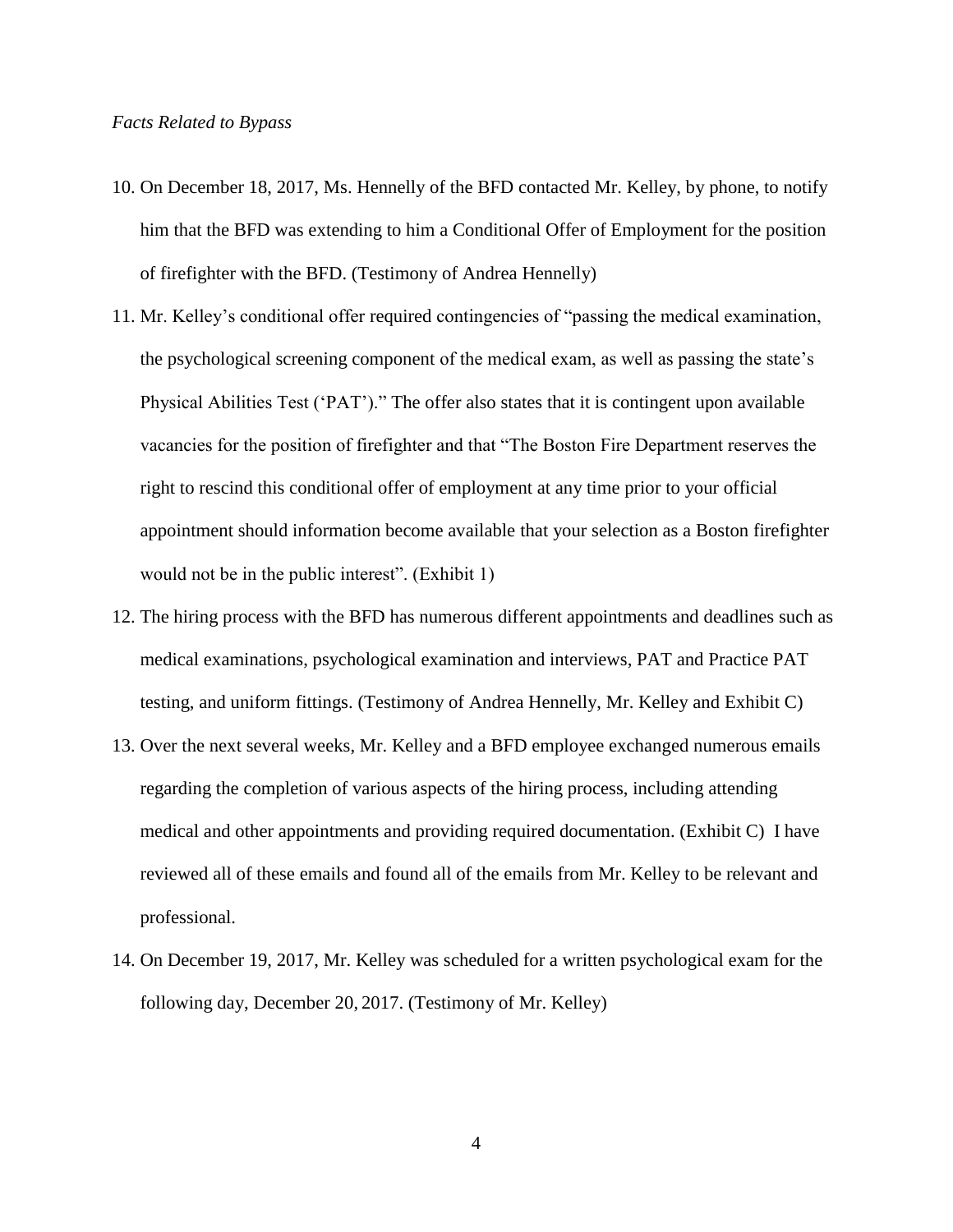#### *Facts Related to Bypass*

- 10. On December 18, 2017, Ms. Hennelly of the BFD contacted Mr. Kelley, by phone, to notify him that the BFD was extending to him a Conditional Offer of Employment for the position of firefighter with the BFD. (Testimony of Andrea Hennelly)
- 11. Mr. Kelley's conditional offer required contingencies of "passing the medical examination, the psychological screening component of the medical exam, as well as passing the state's Physical Abilities Test ('PAT')." The offer also states that it is contingent upon available vacancies for the position of firefighter and that "The Boston Fire Department reserves the right to rescind this conditional offer of employment at any time prior to your official appointment should information become available that your selection as a Boston firefighter would not be in the public interest". (Exhibit 1)
- 12. The hiring process with the BFD has numerous different appointments and deadlines such as medical examinations, psychological examination and interviews, PAT and Practice PAT testing, and uniform fittings. (Testimony of Andrea Hennelly, Mr. Kelley and Exhibit C)
- 13. Over the next several weeks, Mr. Kelley and a BFD employee exchanged numerous emails regarding the completion of various aspects of the hiring process, including attending medical and other appointments and providing required documentation. (Exhibit C) I have reviewed all of these emails and found all of the emails from Mr. Kelley to be relevant and professional.
- 14. On December 19, 2017, Mr. Kelley was scheduled for a written psychological exam for the following day, December 20, 2017. (Testimony of Mr. Kelley)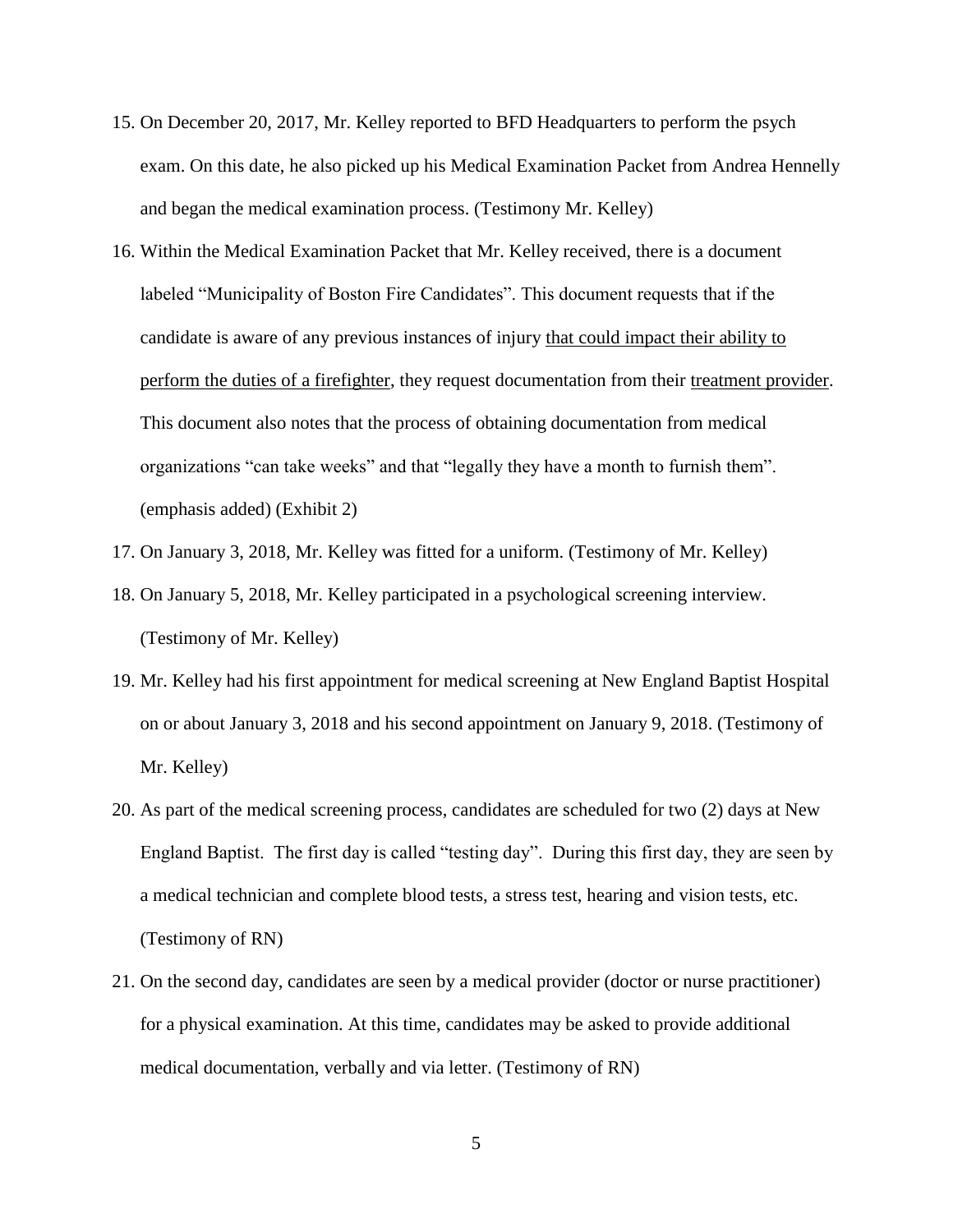- 15. On December 20, 2017, Mr. Kelley reported to BFD Headquarters to perform the psych exam. On this date, he also picked up his Medical Examination Packet from Andrea Hennelly and began the medical examination process. (Testimony Mr. Kelley)
- 16. Within the Medical Examination Packet that Mr. Kelley received, there is a document labeled "Municipality of Boston Fire Candidates". This document requests that if the candidate is aware of any previous instances of injury that could impact their ability to perform the duties of a firefighter, they request documentation from their treatment provider. This document also notes that the process of obtaining documentation from medical organizations "can take weeks" and that "legally they have a month to furnish them". (emphasis added) (Exhibit 2)
- 17. On January 3, 2018, Mr. Kelley was fitted for a uniform. (Testimony of Mr. Kelley)
- 18. On January 5, 2018, Mr. Kelley participated in a psychological screening interview. (Testimony of Mr. Kelley)
- 19. Mr. Kelley had his first appointment for medical screening at New England Baptist Hospital on or about January 3, 2018 and his second appointment on January 9, 2018. (Testimony of Mr. Kelley)
- 20. As part of the medical screening process, candidates are scheduled for two (2) days at New England Baptist. The first day is called "testing day". During this first day, they are seen by a medical technician and complete blood tests, a stress test, hearing and vision tests, etc. (Testimony of RN)
- 21. On the second day, candidates are seen by a medical provider (doctor or nurse practitioner) for a physical examination. At this time, candidates may be asked to provide additional medical documentation, verbally and via letter. (Testimony of RN)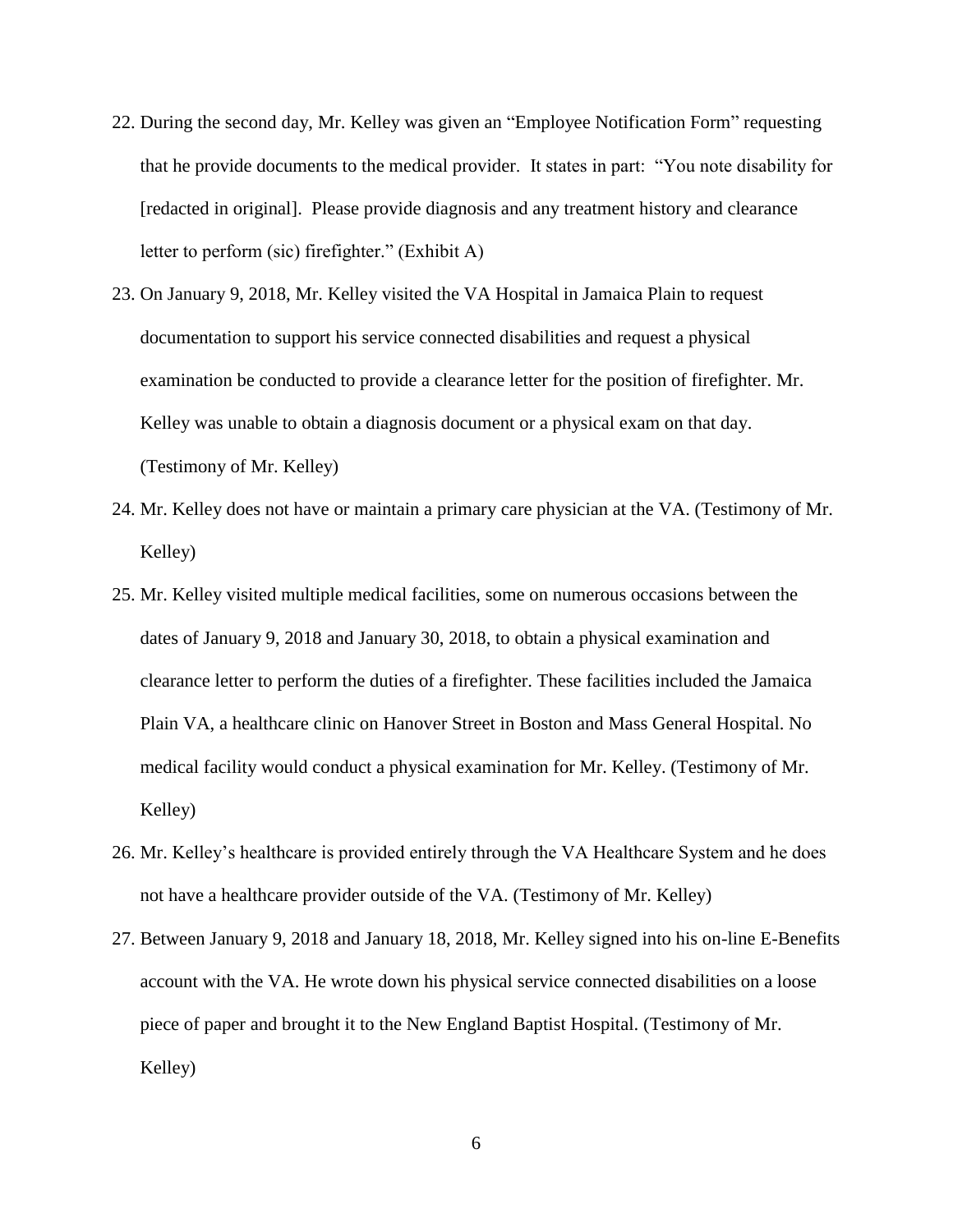- 22. During the second day, Mr. Kelley was given an "Employee Notification Form" requesting that he provide documents to the medical provider. It states in part: "You note disability for [redacted in original]. Please provide diagnosis and any treatment history and clearance letter to perform (sic) firefighter." (Exhibit A)
- 23. On January 9, 2018, Mr. Kelley visited the VA Hospital in Jamaica Plain to request documentation to support his service connected disabilities and request a physical examination be conducted to provide a clearance letter for the position of firefighter. Mr. Kelley was unable to obtain a diagnosis document or a physical exam on that day. (Testimony of Mr. Kelley)
- 24. Mr. Kelley does not have or maintain a primary care physician at the VA. (Testimony of Mr. Kelley)
- 25. Mr. Kelley visited multiple medical facilities, some on numerous occasions between the dates of January 9, 2018 and January 30, 2018, to obtain a physical examination and clearance letter to perform the duties of a firefighter. These facilities included the Jamaica Plain VA, a healthcare clinic on Hanover Street in Boston and Mass General Hospital. No medical facility would conduct a physical examination for Mr. Kelley. (Testimony of Mr. Kelley)
- 26. Mr. Kelley's healthcare is provided entirely through the VA Healthcare System and he does not have a healthcare provider outside of the VA. (Testimony of Mr. Kelley)
- 27. Between January 9, 2018 and January 18, 2018, Mr. Kelley signed into his on-line E-Benefits account with the VA. He wrote down his physical service connected disabilities on a loose piece of paper and brought it to the New England Baptist Hospital. (Testimony of Mr. Kelley)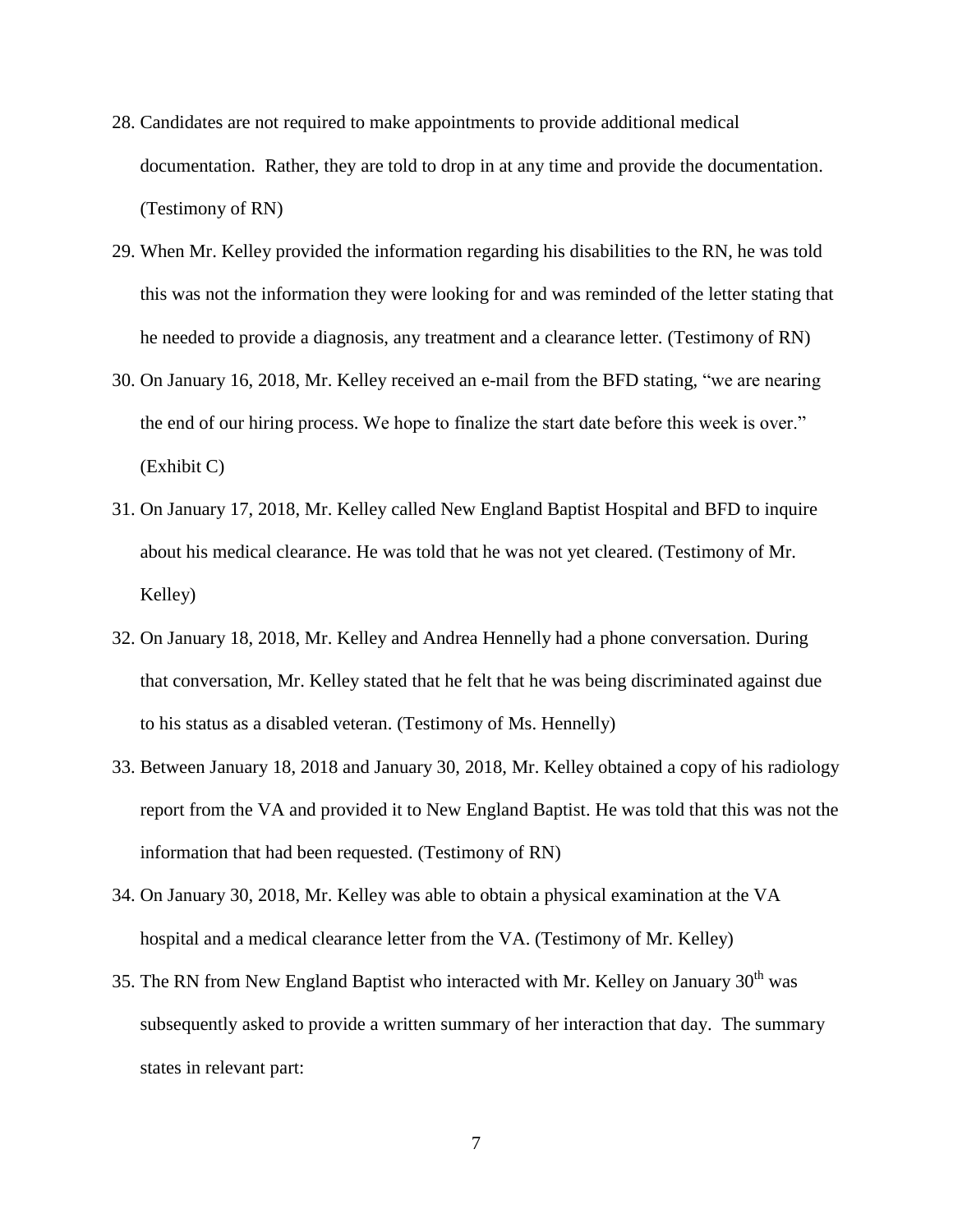- 28. Candidates are not required to make appointments to provide additional medical documentation. Rather, they are told to drop in at any time and provide the documentation. (Testimony of RN)
- 29. When Mr. Kelley provided the information regarding his disabilities to the RN, he was told this was not the information they were looking for and was reminded of the letter stating that he needed to provide a diagnosis, any treatment and a clearance letter. (Testimony of RN)
- 30. On January 16, 2018, Mr. Kelley received an e-mail from the BFD stating, "we are nearing the end of our hiring process. We hope to finalize the start date before this week is over." (Exhibit C)
- 31. On January 17, 2018, Mr. Kelley called New England Baptist Hospital and BFD to inquire about his medical clearance. He was told that he was not yet cleared. (Testimony of Mr. Kelley)
- 32. On January 18, 2018, Mr. Kelley and Andrea Hennelly had a phone conversation. During that conversation, Mr. Kelley stated that he felt that he was being discriminated against due to his status as a disabled veteran. (Testimony of Ms. Hennelly)
- 33. Between January 18, 2018 and January 30, 2018, Mr. Kelley obtained a copy of his radiology report from the VA and provided it to New England Baptist. He was told that this was not the information that had been requested. (Testimony of RN)
- 34. On January 30, 2018, Mr. Kelley was able to obtain a physical examination at the VA hospital and a medical clearance letter from the VA. (Testimony of Mr. Kelley)
- 35. The RN from New England Baptist who interacted with Mr. Kelley on January  $30<sup>th</sup>$  was subsequently asked to provide a written summary of her interaction that day. The summary states in relevant part: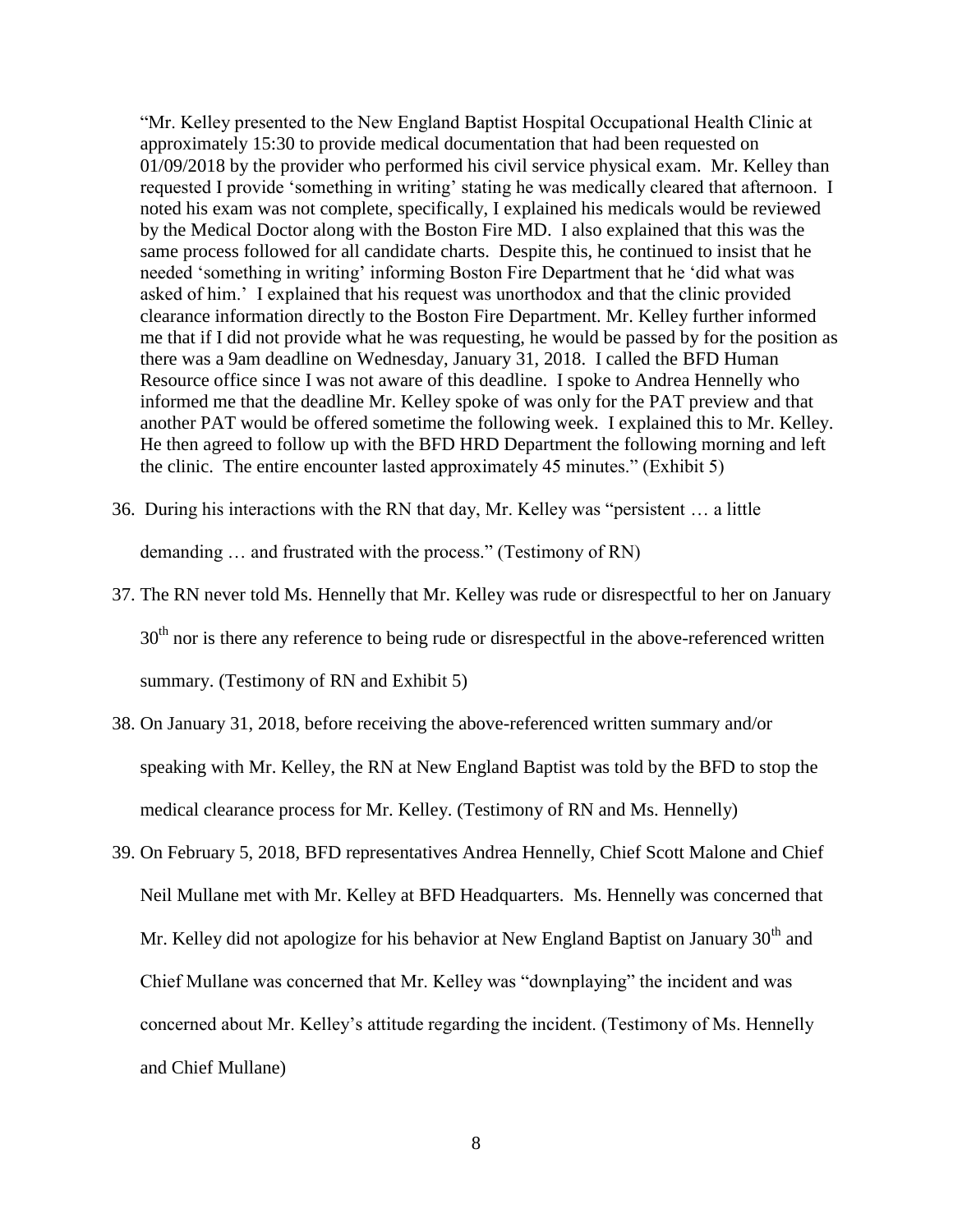"Mr. Kelley presented to the New England Baptist Hospital Occupational Health Clinic at approximately 15:30 to provide medical documentation that had been requested on 01/09/2018 by the provider who performed his civil service physical exam. Mr. Kelley than requested I provide 'something in writing' stating he was medically cleared that afternoon. I noted his exam was not complete, specifically, I explained his medicals would be reviewed by the Medical Doctor along with the Boston Fire MD. I also explained that this was the same process followed for all candidate charts. Despite this, he continued to insist that he needed 'something in writing' informing Boston Fire Department that he 'did what was asked of him.' I explained that his request was unorthodox and that the clinic provided clearance information directly to the Boston Fire Department. Mr. Kelley further informed me that if I did not provide what he was requesting, he would be passed by for the position as there was a 9am deadline on Wednesday, January 31, 2018. I called the BFD Human Resource office since I was not aware of this deadline. I spoke to Andrea Hennelly who informed me that the deadline Mr. Kelley spoke of was only for the PAT preview and that another PAT would be offered sometime the following week. I explained this to Mr. Kelley. He then agreed to follow up with the BFD HRD Department the following morning and left the clinic. The entire encounter lasted approximately 45 minutes." (Exhibit 5)

- 36. During his interactions with the RN that day, Mr. Kelley was "persistent … a little demanding … and frustrated with the process." (Testimony of RN)
- 37. The RN never told Ms. Hennelly that Mr. Kelley was rude or disrespectful to her on January  $30<sup>th</sup>$  nor is there any reference to being rude or disrespectful in the above-referenced written summary. (Testimony of RN and Exhibit 5)
- 38. On January 31, 2018, before receiving the above-referenced written summary and/or speaking with Mr. Kelley, the RN at New England Baptist was told by the BFD to stop the medical clearance process for Mr. Kelley. (Testimony of RN and Ms. Hennelly)
- 39. On February 5, 2018, BFD representatives Andrea Hennelly, Chief Scott Malone and Chief Neil Mullane met with Mr. Kelley at BFD Headquarters. Ms. Hennelly was concerned that Mr. Kelley did not apologize for his behavior at New England Baptist on January  $30<sup>th</sup>$  and Chief Mullane was concerned that Mr. Kelley was "downplaying" the incident and was concerned about Mr. Kelley's attitude regarding the incident. (Testimony of Ms. Hennelly and Chief Mullane)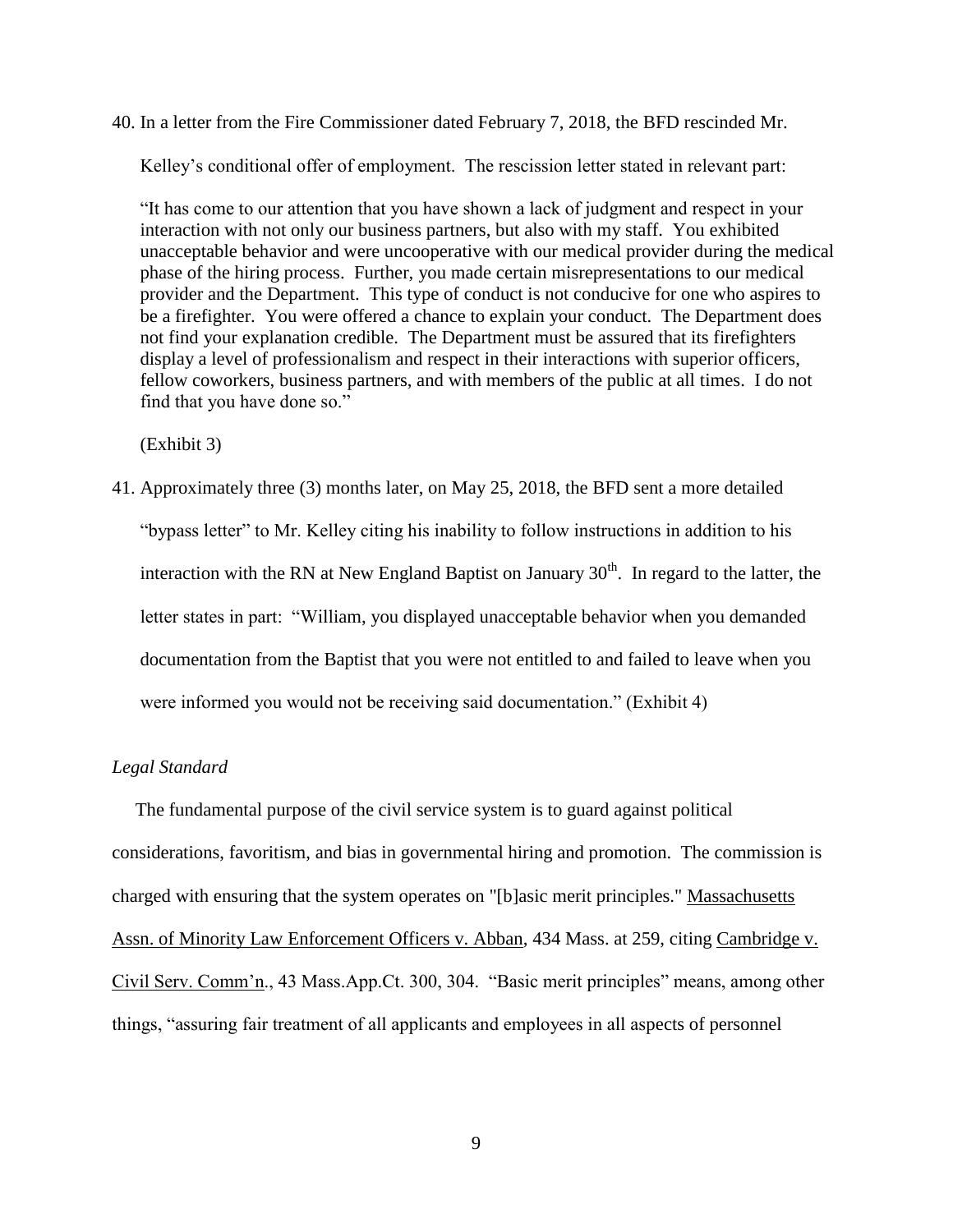40. In a letter from the Fire Commissioner dated February 7, 2018, the BFD rescinded Mr.

Kelley's conditional offer of employment. The rescission letter stated in relevant part:

"It has come to our attention that you have shown a lack of judgment and respect in your interaction with not only our business partners, but also with my staff. You exhibited unacceptable behavior and were uncooperative with our medical provider during the medical phase of the hiring process. Further, you made certain misrepresentations to our medical provider and the Department. This type of conduct is not conducive for one who aspires to be a firefighter. You were offered a chance to explain your conduct. The Department does not find your explanation credible. The Department must be assured that its firefighters display a level of professionalism and respect in their interactions with superior officers, fellow coworkers, business partners, and with members of the public at all times. I do not find that you have done so."

(Exhibit 3)

41. Approximately three (3) months later, on May 25, 2018, the BFD sent a more detailed "bypass letter" to Mr. Kelley citing his inability to follow instructions in addition to his interaction with the RN at New England Baptist on January  $30<sup>th</sup>$ . In regard to the latter, the letter states in part: "William, you displayed unacceptable behavior when you demanded documentation from the Baptist that you were not entitled to and failed to leave when you were informed you would not be receiving said documentation." (Exhibit 4)

### *Legal Standard*

 The fundamental purpose of the civil service system is to guard against political considerations, favoritism, and bias in governmental hiring and promotion. The commission is charged with ensuring that the system operates on "[b]asic merit principles." Massachusetts Assn. of Minority Law Enforcement Officers v. Abban, 434 Mass. at 259, citing Cambridge v. Civil Serv. Comm'n., 43 Mass.App.Ct. 300, 304. "Basic merit principles" means, among other things, "assuring fair treatment of all applicants and employees in all aspects of personnel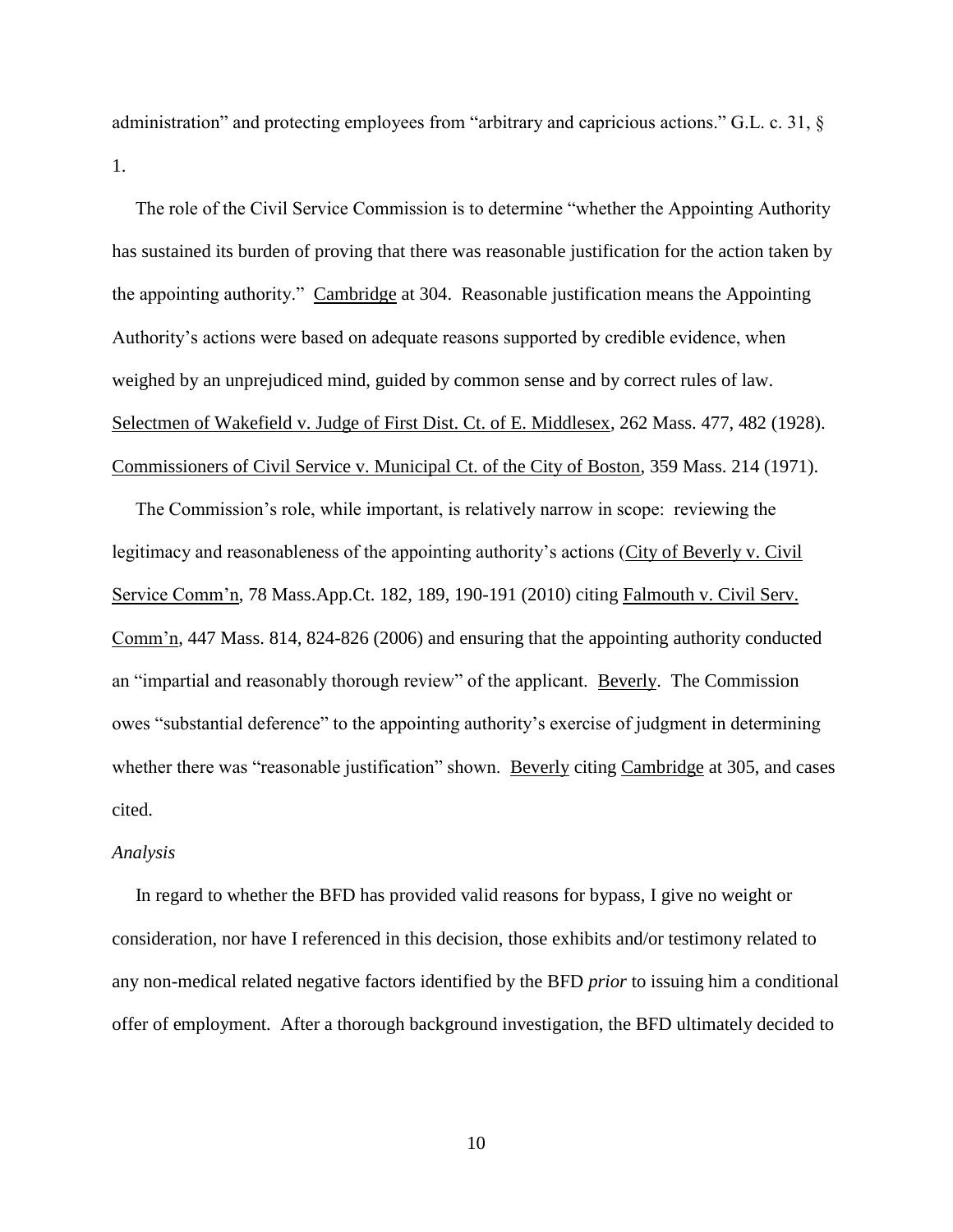administration" and protecting employees from "arbitrary and capricious actions." G.L. c. 31, § 1.

 The role of the Civil Service Commission is to determine "whether the Appointing Authority has sustained its burden of proving that there was reasonable justification for the action taken by the appointing authority." Cambridge at 304. Reasonable justification means the Appointing Authority's actions were based on adequate reasons supported by credible evidence, when weighed by an unprejudiced mind, guided by common sense and by correct rules of law. Selectmen of Wakefield v. Judge of First Dist. Ct. of E. Middlesex, 262 Mass. 477, 482 (1928). Commissioners of Civil Service v. Municipal Ct. of the City of Boston, 359 Mass. 214 (1971).

 The Commission's role, while important, is relatively narrow in scope: reviewing the legitimacy and reasonableness of the appointing authority's actions (City of Beverly v. Civil Service Comm'n, 78 Mass.App.Ct. 182, 189, 190-191 (2010) citing Falmouth v. Civil Serv. Comm'n, 447 Mass. 814, 824-826 (2006) and ensuring that the appointing authority conducted an "impartial and reasonably thorough review" of the applicant. Beverly. The Commission owes "substantial deference" to the appointing authority's exercise of judgment in determining whether there was "reasonable justification" shown. Beverly citing Cambridge at 305, and cases cited.

#### *Analysis*

 In regard to whether the BFD has provided valid reasons for bypass, I give no weight or consideration, nor have I referenced in this decision, those exhibits and/or testimony related to any non-medical related negative factors identified by the BFD *prior* to issuing him a conditional offer of employment. After a thorough background investigation, the BFD ultimately decided to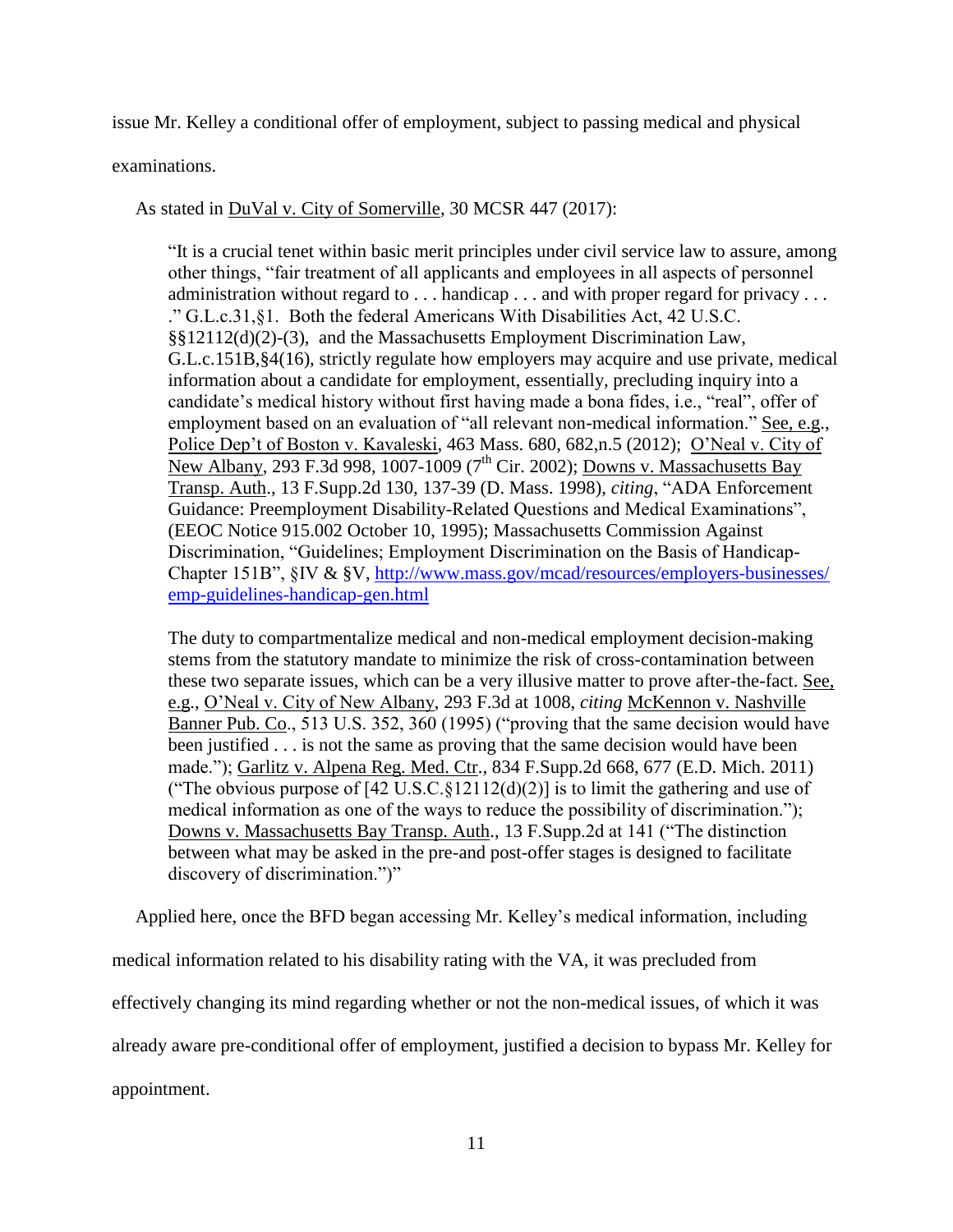issue Mr. Kelley a conditional offer of employment, subject to passing medical and physical

examinations.

As stated in DuVal v. City of Somerville, 30 MCSR 447 (2017):

"It is a crucial tenet within basic merit principles under civil service law to assure, among other things, "fair treatment of all applicants and employees in all aspects of personnel administration without regard to . . . handicap . . . and with proper regard for privacy . . . ." G.L.c.31,§1. Both the federal Americans With Disabilities Act, 42 U.S.C. §§12112(d)(2)-(3), and the Massachusetts Employment Discrimination Law, G.L.c.151B,§4(16), strictly regulate how employers may acquire and use private, medical information about a candidate for employment, essentially, precluding inquiry into a candidate's medical history without first having made a bona fides, i.e., "real", offer of employment based on an evaluation of "all relevant non-medical information." See, e.g., Police Dep't of Boston v. Kavaleski, 463 Mass. 680, 682,n.5 (2012); O'Neal v. City of New Albany, 293 F.3d 998, 1007-1009 ( $7<sup>th</sup>$  Cir. 2002); Downs v. Massachusetts Bay Transp. Auth., 13 F.Supp.2d 130, 137-39 (D. Mass. 1998), *citing*, "ADA Enforcement Guidance: Preemployment Disability-Related Questions and Medical Examinations", (EEOC Notice 915.002 October 10, 1995); Massachusetts Commission Against Discrimination, "Guidelines; Employment Discrimination on the Basis of Handicap-Chapter 151B", §IV & §V, [http://www.mass.gov/mcad/resources/employers-businesses/](http://www.mass.gov/mcad/resources/employers-businesses/%20emp-guidelines-handicap-gen.html)  [emp-guidelines-handicap-gen.html](http://www.mass.gov/mcad/resources/employers-businesses/%20emp-guidelines-handicap-gen.html)

The duty to compartmentalize medical and non-medical employment decision-making stems from the statutory mandate to minimize the risk of cross-contamination between these two separate issues, which can be a very illusive matter to prove after-the-fact. See, e.g., O'Neal v. City of New Albany, 293 F.3d at 1008, *citing* McKennon v. Nashville Banner Pub. Co., 513 U.S. 352, 360 (1995) ("proving that the same decision would have been justified . . . is not the same as proving that the same decision would have been made."); Garlitz v. Alpena Reg. Med. Ctr., 834 F. Supp. 2d 668, 677 (E.D. Mich. 2011) ("The obvious purpose of  $[42 \text{ U.S. C. §12112(d)(2)}]$  is to limit the gathering and use of medical information as one of the ways to reduce the possibility of discrimination."); Downs v. Massachusetts Bay Transp. Auth., 13 F.Supp.2d at 141 ("The distinction between what may be asked in the pre-and post-offer stages is designed to facilitate discovery of discrimination.")"

Applied here, once the BFD began accessing Mr. Kelley's medical information, including

medical information related to his disability rating with the VA, it was precluded from

effectively changing its mind regarding whether or not the non-medical issues, of which it was

already aware pre-conditional offer of employment, justified a decision to bypass Mr. Kelley for

appointment.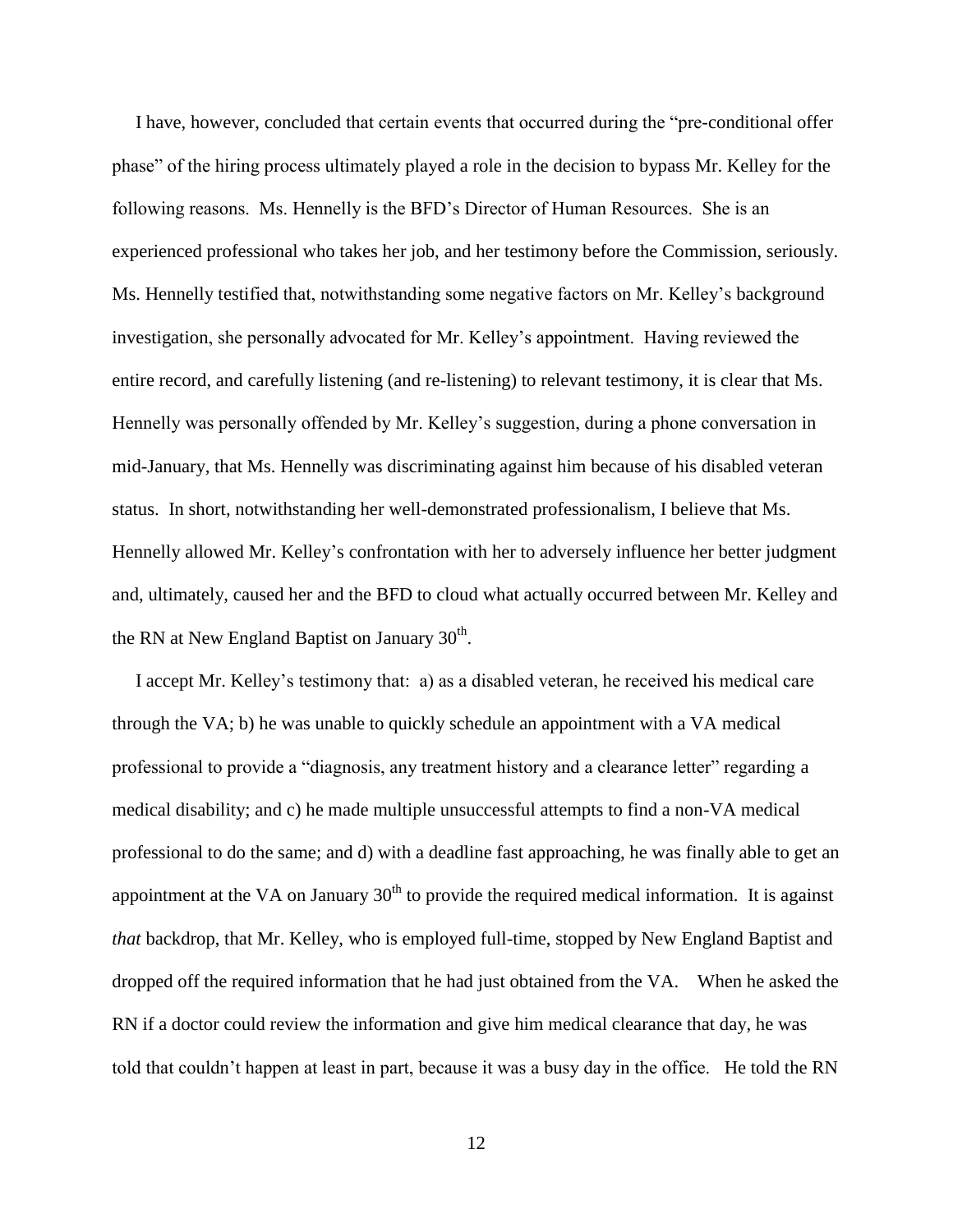I have, however, concluded that certain events that occurred during the "pre-conditional offer phase" of the hiring process ultimately played a role in the decision to bypass Mr. Kelley for the following reasons. Ms. Hennelly is the BFD's Director of Human Resources. She is an experienced professional who takes her job, and her testimony before the Commission, seriously. Ms. Hennelly testified that, notwithstanding some negative factors on Mr. Kelley's background investigation, she personally advocated for Mr. Kelley's appointment. Having reviewed the entire record, and carefully listening (and re-listening) to relevant testimony, it is clear that Ms. Hennelly was personally offended by Mr. Kelley's suggestion, during a phone conversation in mid-January, that Ms. Hennelly was discriminating against him because of his disabled veteran status. In short, notwithstanding her well-demonstrated professionalism, I believe that Ms. Hennelly allowed Mr. Kelley's confrontation with her to adversely influence her better judgment and, ultimately, caused her and the BFD to cloud what actually occurred between Mr. Kelley and the RN at New England Baptist on January  $30<sup>th</sup>$ .

 I accept Mr. Kelley's testimony that: a) as a disabled veteran, he received his medical care through the VA; b) he was unable to quickly schedule an appointment with a VA medical professional to provide a "diagnosis, any treatment history and a clearance letter" regarding a medical disability; and c) he made multiple unsuccessful attempts to find a non-VA medical professional to do the same; and d) with a deadline fast approaching, he was finally able to get an appointment at the VA on January  $30<sup>th</sup>$  to provide the required medical information. It is against *that* backdrop, that Mr. Kelley, who is employed full-time, stopped by New England Baptist and dropped off the required information that he had just obtained from the VA. When he asked the RN if a doctor could review the information and give him medical clearance that day, he was told that couldn't happen at least in part, because it was a busy day in the office. He told the RN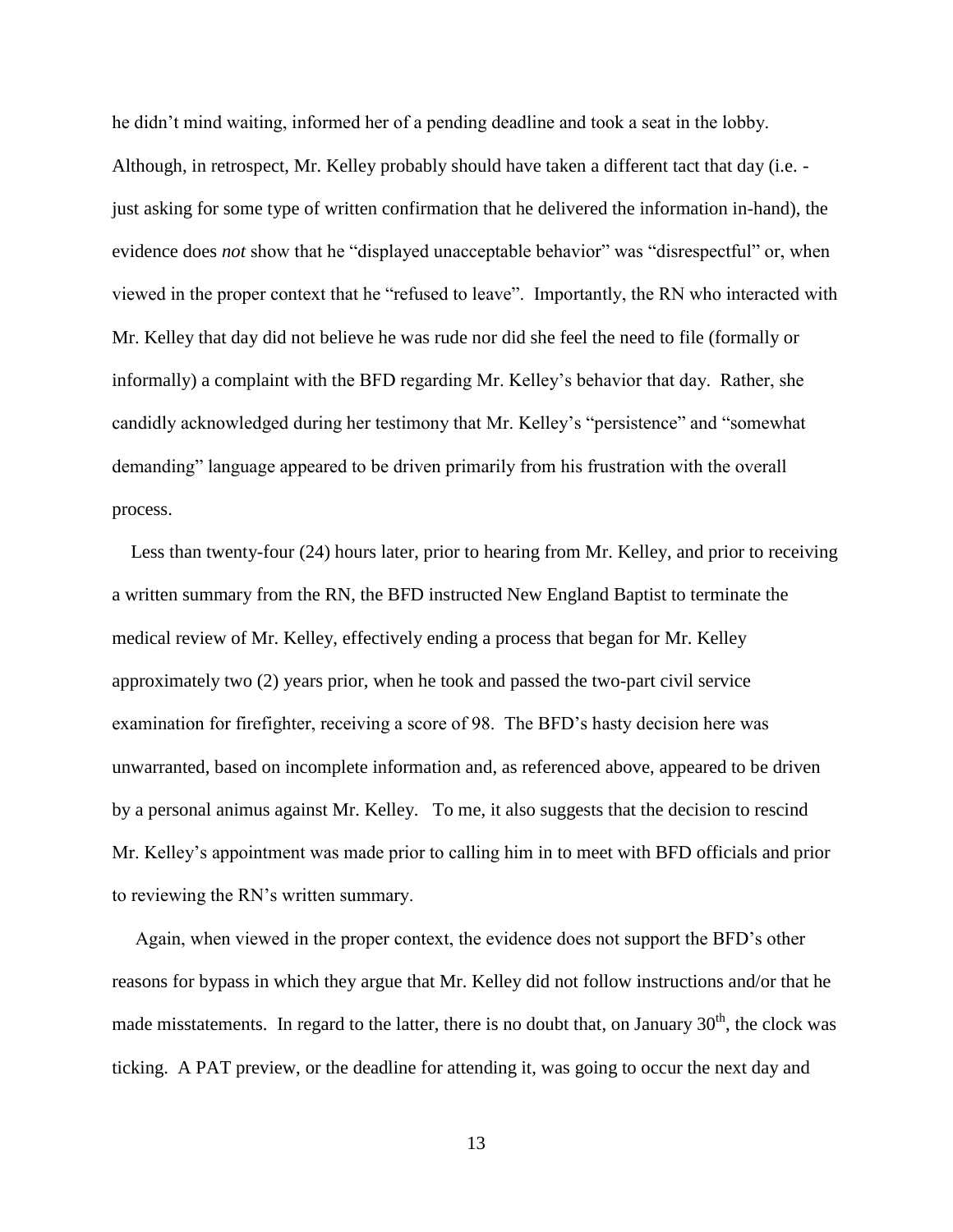he didn't mind waiting, informed her of a pending deadline and took a seat in the lobby. Although, in retrospect, Mr. Kelley probably should have taken a different tact that day (i.e. just asking for some type of written confirmation that he delivered the information in-hand), the evidence does *not* show that he "displayed unacceptable behavior" was "disrespectful" or, when viewed in the proper context that he "refused to leave". Importantly, the RN who interacted with Mr. Kelley that day did not believe he was rude nor did she feel the need to file (formally or informally) a complaint with the BFD regarding Mr. Kelley's behavior that day. Rather, she candidly acknowledged during her testimony that Mr. Kelley's "persistence" and "somewhat demanding" language appeared to be driven primarily from his frustration with the overall process.

 Less than twenty-four (24) hours later, prior to hearing from Mr. Kelley, and prior to receiving a written summary from the RN, the BFD instructed New England Baptist to terminate the medical review of Mr. Kelley, effectively ending a process that began for Mr. Kelley approximately two (2) years prior, when he took and passed the two-part civil service examination for firefighter, receiving a score of 98. The BFD's hasty decision here was unwarranted, based on incomplete information and, as referenced above, appeared to be driven by a personal animus against Mr. Kelley. To me, it also suggests that the decision to rescind Mr. Kelley's appointment was made prior to calling him in to meet with BFD officials and prior to reviewing the RN's written summary.

 Again, when viewed in the proper context, the evidence does not support the BFD's other reasons for bypass in which they argue that Mr. Kelley did not follow instructions and/or that he made misstatements. In regard to the latter, there is no doubt that, on January  $30<sup>th</sup>$ , the clock was ticking. A PAT preview, or the deadline for attending it, was going to occur the next day and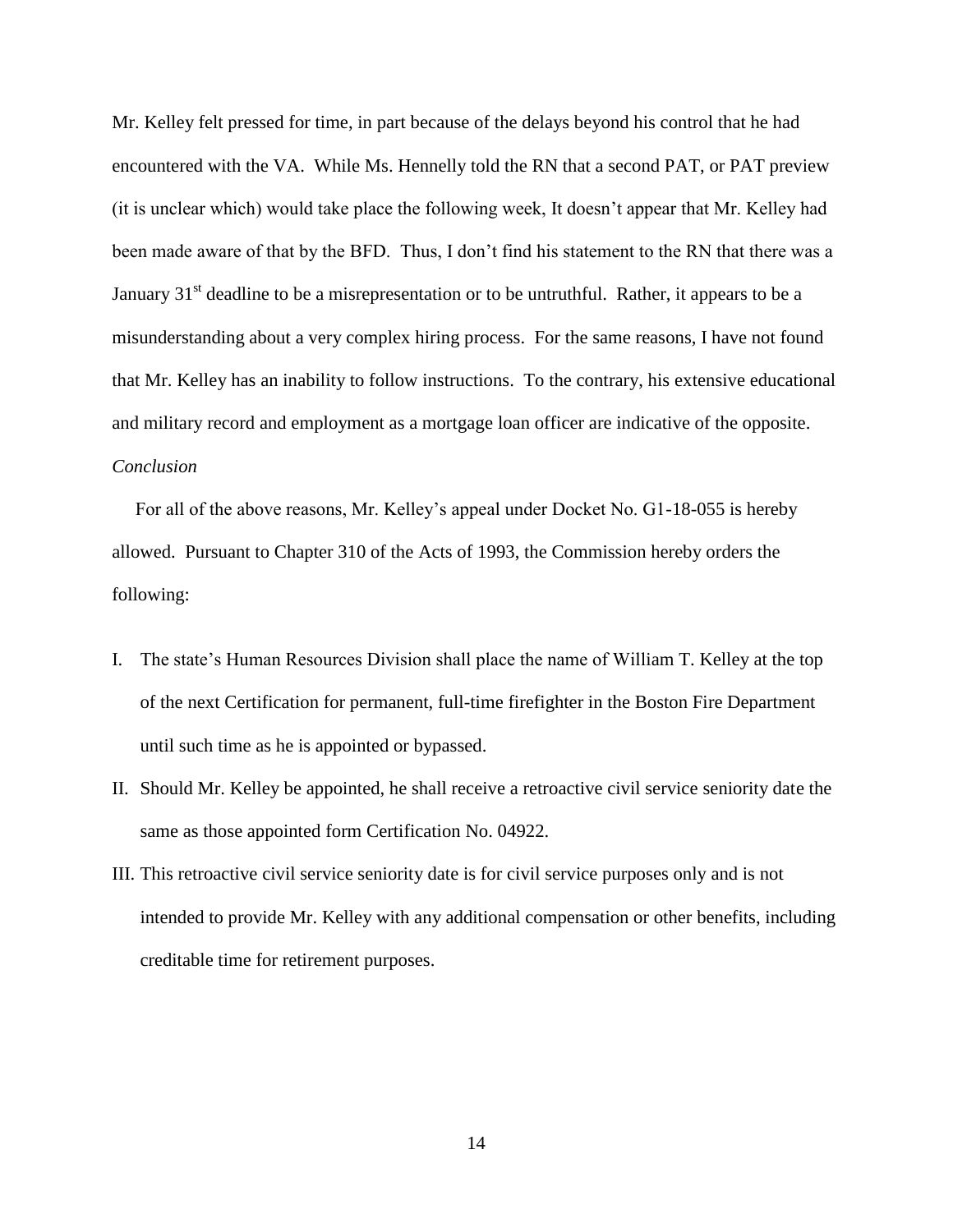Mr. Kelley felt pressed for time, in part because of the delays beyond his control that he had encountered with the VA. While Ms. Hennelly told the RN that a second PAT, or PAT preview (it is unclear which) would take place the following week, It doesn't appear that Mr. Kelley had been made aware of that by the BFD. Thus, I don't find his statement to the RN that there was a January  $31<sup>st</sup>$  deadline to be a misrepresentation or to be untruthful. Rather, it appears to be a misunderstanding about a very complex hiring process. For the same reasons, I have not found that Mr. Kelley has an inability to follow instructions. To the contrary, his extensive educational and military record and employment as a mortgage loan officer are indicative of the opposite. *Conclusion*

 For all of the above reasons, Mr. Kelley's appeal under Docket No. G1-18-055 is hereby allowed. Pursuant to Chapter 310 of the Acts of 1993, the Commission hereby orders the following:

- I. The state's Human Resources Division shall place the name of William T. Kelley at the top of the next Certification for permanent, full-time firefighter in the Boston Fire Department until such time as he is appointed or bypassed.
- II. Should Mr. Kelley be appointed, he shall receive a retroactive civil service seniority date the same as those appointed form Certification No. 04922.
- III. This retroactive civil service seniority date is for civil service purposes only and is not intended to provide Mr. Kelley with any additional compensation or other benefits, including creditable time for retirement purposes.